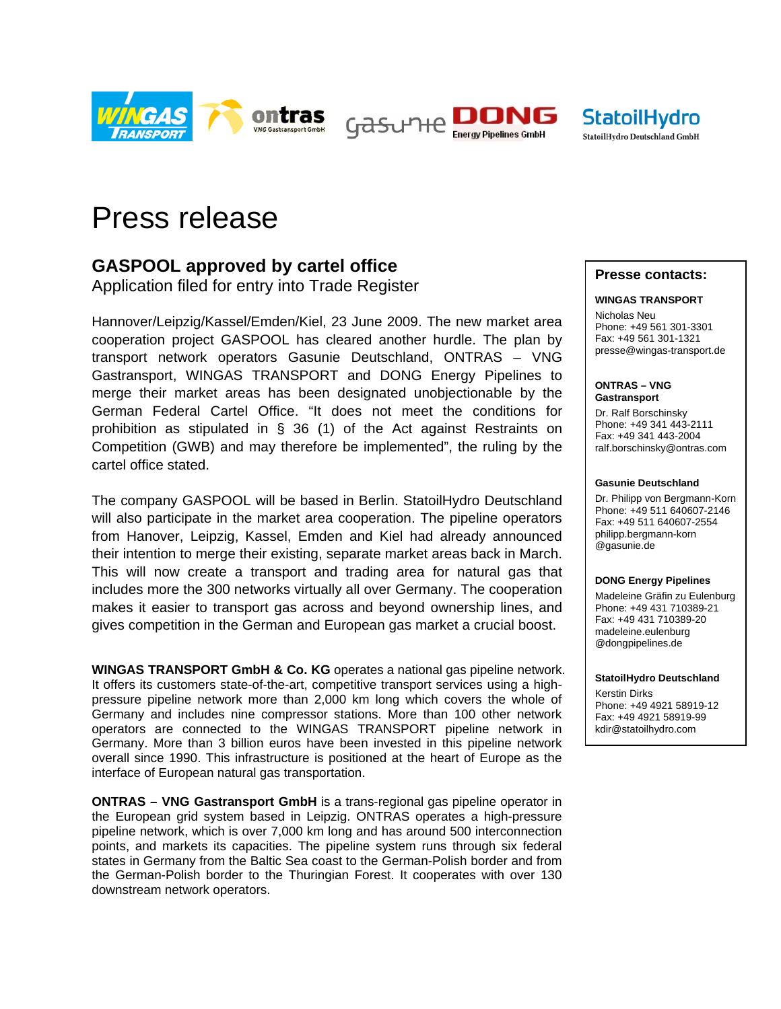

Gasune **Energy Pipelines GmbH** 



# Press release

# **GASPOOL approved by cartel office**

Application filed for entry into Trade Register

Hannover/Leipzig/Kassel/Emden/Kiel, 23 June 2009. The new market area cooperation project GASPOOL has cleared another hurdle. The plan by transport network operators Gasunie Deutschland, ONTRAS – VNG Gastransport, WINGAS TRANSPORT and DONG Energy Pipelines to merge their market areas has been designated unobjectionable by the German Federal Cartel Office. "It does not meet the conditions for prohibition as stipulated in § 36 (1) of the Act against Restraints on Competition (GWB) and may therefore be implemented", the ruling by the cartel office stated.

The company GASPOOL will be based in Berlin. StatoilHydro Deutschland will also participate in the market area cooperation. The pipeline operators from Hanover, Leipzig, Kassel, Emden and Kiel had already announced their intention to merge their existing, separate market areas back in March. This will now create a transport and trading area for natural gas that includes more the 300 networks virtually all over Germany. The cooperation makes it easier to transport gas across and beyond ownership lines, and gives competition in the German and European gas market a crucial boost.

**WINGAS TRANSPORT GmbH & Co. KG** operates a national gas pipeline network. It offers its customers state-of-the-art, competitive transport services using a highpressure pipeline network more than 2,000 km long which covers the whole of Germany and includes nine compressor stations. More than 100 other network operators are connected to the WINGAS TRANSPORT pipeline network in Germany. More than 3 billion euros have been invested in this pipeline network overall since 1990. This infrastructure is positioned at the heart of Europe as the interface of European natural gas transportation.

**ONTRAS – VNG Gastransport GmbH** is a trans-regional gas pipeline operator in the European grid system based in Leipzig. ONTRAS operates a high-pressure pipeline network, which is over 7,000 km long and has around 500 interconnection points, and markets its capacities. The pipeline system runs through six federal states in Germany from the Baltic Sea coast to the German-Polish border and from the German-Polish border to the Thuringian Forest. It cooperates with over 130 downstream network operators.

## **Presse contacts:**

#### **WINGAS TRANSPORT**

Nicholas Neu Phone: +49 561 301-3301 Fax: +49 561 301-1321 presse@wingas-transport.de

**ONTRAS – VNG Gastransport** 

Dr. Ralf Borschinsky Phone: +49 341 443-2111 Fax: +49 341 443-2004 ralf.borschinsky@ontras.com

#### **Gasunie Deutschland**

Dr. Philipp von Bergmann-Korn Phone: +49 511 640607-2146 Fax: +49 511 640607-2554 philipp.bergmann-korn @gasunie.de

#### **DONG Energy Pipelines**

Madeleine Gräfin zu Eulenburg Phone: +49 431 710389-21 Fax: +49 431 710389-20 madeleine.eulenburg @dongpipelines.de

### **StatoilHydro Deutschland**

Kerstin Dirks Phone: +49 4921 58919-12 Fax: +49 4921 58919-99 kdir@statoilhydro.com